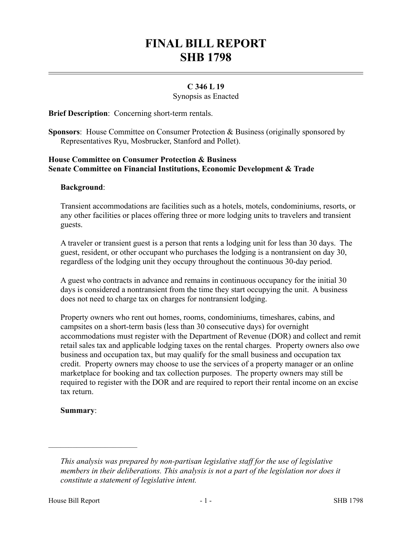# **FINAL BILL REPORT SHB 1798**

## **C 346 L 19**

Synopsis as Enacted

**Brief Description**: Concerning short-term rentals.

**Sponsors**: House Committee on Consumer Protection & Business (originally sponsored by Representatives Ryu, Mosbrucker, Stanford and Pollet).

## **House Committee on Consumer Protection & Business Senate Committee on Financial Institutions, Economic Development & Trade**

#### **Background**:

Transient accommodations are facilities such as a hotels, motels, condominiums, resorts, or any other facilities or places offering three or more lodging units to travelers and transient guests.

A traveler or transient guest is a person that rents a lodging unit for less than 30 days. The guest, resident, or other occupant who purchases the lodging is a nontransient on day 30, regardless of the lodging unit they occupy throughout the continuous 30-day period.

A guest who contracts in advance and remains in continuous occupancy for the initial 30 days is considered a nontransient from the time they start occupying the unit. A business does not need to charge tax on charges for nontransient lodging.

Property owners who rent out homes, rooms, condominiums, timeshares, cabins, and campsites on a short-term basis (less than 30 consecutive days) for overnight accommodations must register with the Department of Revenue (DOR) and collect and remit retail sales tax and applicable lodging taxes on the rental charges. Property owners also owe business and occupation tax, but may qualify for the small business and occupation tax credit. Property owners may choose to use the services of a property manager or an online marketplace for booking and tax collection purposes. The property owners may still be required to register with the DOR and are required to report their rental income on an excise tax return.

#### **Summary**:

––––––––––––––––––––––

*This analysis was prepared by non-partisan legislative staff for the use of legislative members in their deliberations. This analysis is not a part of the legislation nor does it constitute a statement of legislative intent.*